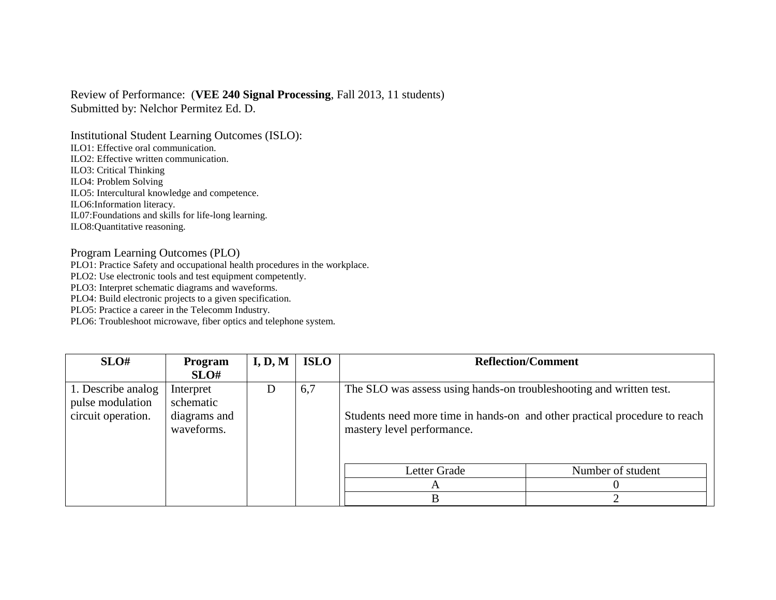## Review of Performance: (**VEE 240 Signal Processing**, Fall 2013, 11 students) Submitted by: Nelchor Permitez Ed. D.

Institutional Student Learning Outcomes (ISLO): ILO1: Effective oral communication. ILO2: Effective written communication. ILO3: Critical Thinking ILO4: Problem Solving ILO5: Intercultural knowledge and competence. ILO6:Information literacy. IL07:Foundations and skills for life-long learning. ILO8:Quantitative reasoning.

## Program Learning Outcomes (PLO)

PLO1: Practice Safety and occupational health procedures in the workplace.

PLO2: Use electronic tools and test equipment competently.

PLO3: Interpret schematic diagrams and waveforms.

PLO4: Build electronic projects to a given specification.

PLO5: Practice a career in the Telecomm Industry.

PLO6: Troubleshoot microwave, fiber optics and telephone system.

| SLO#                                   | <b>Program</b>             | I, D, M | <b>ISLO</b> | <b>Reflection/Comment</b>                                                                                                                                                       |                   |
|----------------------------------------|----------------------------|---------|-------------|---------------------------------------------------------------------------------------------------------------------------------------------------------------------------------|-------------------|
|                                        | SLO#                       |         |             |                                                                                                                                                                                 |                   |
| 1. Describe analog<br>pulse modulation | Interpret<br>schematic     | Ð       | 6,7         | The SLO was assess using hands-on troubleshooting and written test.<br>Students need more time in hands-on and other practical procedure to reach<br>mastery level performance. |                   |
| circuit operation.                     | diagrams and<br>waveforms. |         |             |                                                                                                                                                                                 |                   |
|                                        |                            |         |             | Letter Grade                                                                                                                                                                    | Number of student |
|                                        |                            |         |             | A                                                                                                                                                                               |                   |
|                                        |                            |         |             | B                                                                                                                                                                               |                   |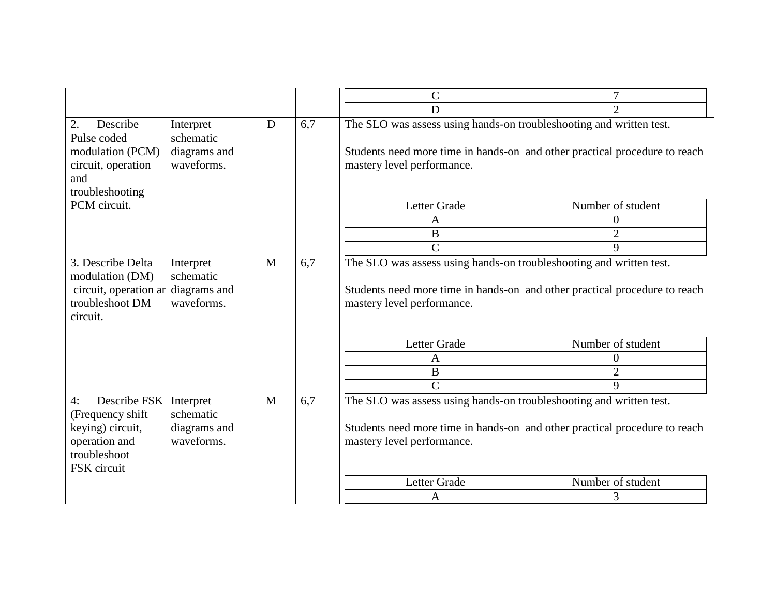|                                                                  |           |                                                                                                                                                                                        | $\mathcal{C}$                                                                                                                                                                                                                    | 7                 |  |
|------------------------------------------------------------------|-----------|----------------------------------------------------------------------------------------------------------------------------------------------------------------------------------------|----------------------------------------------------------------------------------------------------------------------------------------------------------------------------------------------------------------------------------|-------------------|--|
|                                                                  |           |                                                                                                                                                                                        | D                                                                                                                                                                                                                                | $\overline{2}$    |  |
| Interpret<br>schematic<br>diagrams and<br>waveforms.             | D         | 6,7<br>The SLO was assess using hands-on troubleshooting and written test.<br>Students need more time in hands-on and other practical procedure to reach<br>mastery level performance. |                                                                                                                                                                                                                                  |                   |  |
|                                                                  |           |                                                                                                                                                                                        | Letter Grade                                                                                                                                                                                                                     | Number of student |  |
|                                                                  |           |                                                                                                                                                                                        | A                                                                                                                                                                                                                                | $\overline{0}$    |  |
|                                                                  |           |                                                                                                                                                                                        | $\bf{B}$                                                                                                                                                                                                                         | $\overline{2}$    |  |
|                                                                  |           |                                                                                                                                                                                        | $\overline{C}$                                                                                                                                                                                                                   | 9                 |  |
| schematic<br>circuit, operation ar<br>diagrams and<br>waveforms. |           |                                                                                                                                                                                        | The SLO was assess using hands-on troubleshooting and written test.<br>Students need more time in hands-on and other practical procedure to reach<br>mastery level performance.                                                  |                   |  |
|                                                                  |           |                                                                                                                                                                                        | Letter Grade                                                                                                                                                                                                                     | Number of student |  |
|                                                                  |           |                                                                                                                                                                                        | A                                                                                                                                                                                                                                | 0                 |  |
|                                                                  |           |                                                                                                                                                                                        | $\bf{B}$                                                                                                                                                                                                                         | $\overline{2}$    |  |
|                                                                  |           |                                                                                                                                                                                        | $\overline{C}$                                                                                                                                                                                                                   | 9                 |  |
| Interpret<br>schematic<br>diagrams and<br>waveforms.             | M         | 6,7                                                                                                                                                                                    | The SLO was assess using hands-on troubleshooting and written test.<br>Students need more time in hands-on and other practical procedure to reach<br>mastery level performance.<br><b>Letter Grade</b><br>Number of student<br>3 |                   |  |
|                                                                  | Interpret | M                                                                                                                                                                                      | 6,7                                                                                                                                                                                                                              | A                 |  |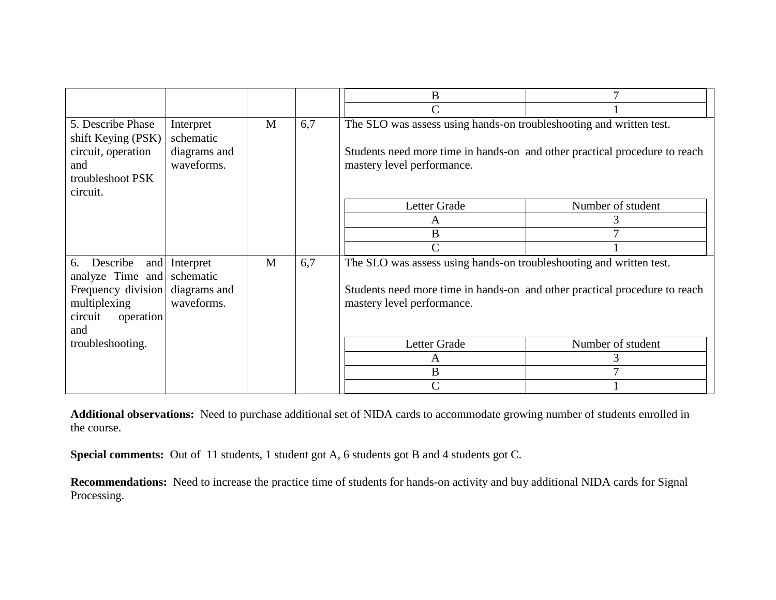|                                               |                            |   |     | B                                                                                                        |                   |  |
|-----------------------------------------------|----------------------------|---|-----|----------------------------------------------------------------------------------------------------------|-------------------|--|
|                                               |                            |   |     | $\overline{C}$                                                                                           |                   |  |
| 5. Describe Phase<br>shift Keying (PSK)       | Interpret<br>schematic     | M | 6,7 | The SLO was assess using hands-on troubleshooting and written test.                                      |                   |  |
| circuit, operation<br>and<br>troubleshoot PSK | diagrams and<br>waveforms. |   |     | Students need more time in hands-on and other practical procedure to reach<br>mastery level performance. |                   |  |
| circuit.                                      |                            |   |     |                                                                                                          |                   |  |
|                                               |                            |   |     | Letter Grade                                                                                             | Number of student |  |
|                                               |                            |   |     | A                                                                                                        |                   |  |
|                                               |                            |   |     | $\bf{B}$                                                                                                 |                   |  |
|                                               |                            |   |     | $\mathcal{C}$                                                                                            |                   |  |
| Describe<br>6.<br>and<br>analyze Time and     | Interpret<br>schematic     | M | 6,7 | The SLO was assess using hands-on troubleshooting and written test.                                      |                   |  |
| Frequency division<br>multiplexing            | diagrams and<br>waveforms. |   |     | Students need more time in hands-on and other practical procedure to reach<br>mastery level performance. |                   |  |
| circuit<br>operation                          |                            |   |     |                                                                                                          |                   |  |
| and                                           |                            |   |     |                                                                                                          |                   |  |
| troubleshooting.                              |                            |   |     | Letter Grade                                                                                             | Number of student |  |
|                                               |                            |   |     | A                                                                                                        |                   |  |
|                                               |                            |   |     | B                                                                                                        |                   |  |
|                                               |                            |   |     | $\mathcal{C}$                                                                                            |                   |  |

**Additional observations:** Need to purchase additional set of NIDA cards to accommodate growing number of students enrolled in the course.

Special comments: Out of 11 students, 1 student got A, 6 students got B and 4 students got C.

**Recommendations:** Need to increase the practice time of students for hands-on activity and buy additional NIDA cards for Signal Processing.